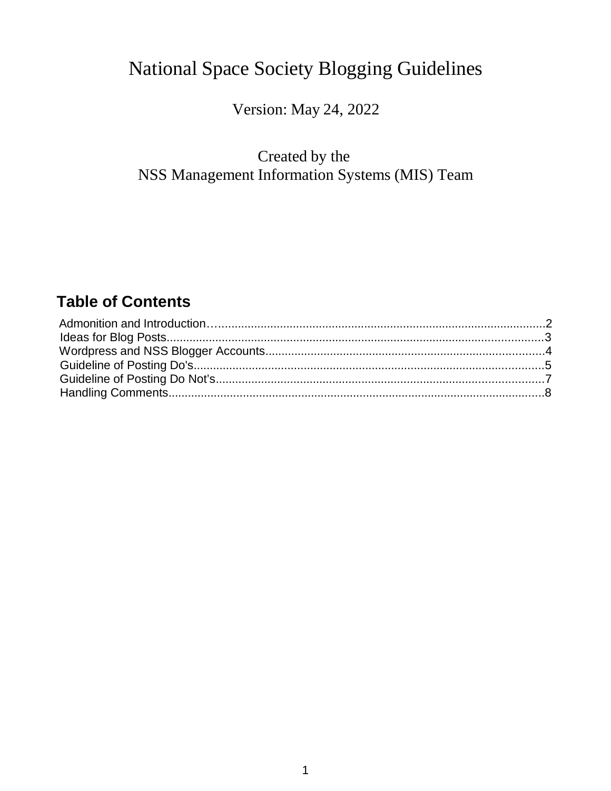# National Space Society Blogging Guidelines

Version: May 24, 2022

# Created by the NSS Management Information Systems (MIS) Team

# **Table of Contents**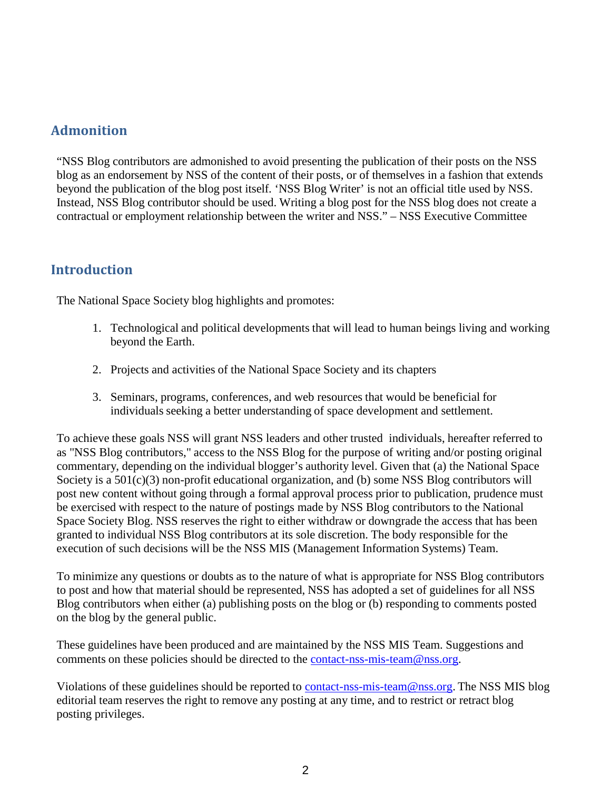#### **Admonition**

"NSS Blog contributors are admonished to avoid presenting the publication of their posts on the NSS blog as an endorsement by NSS of the content of their posts, or of themselves in a fashion that extends beyond the publication of the blog post itself. 'NSS Blog Writer' is not an official title used by NSS. Instead, NSS Blog contributor should be used. Writing a blog post for the NSS blog does not create a contractual or employment relationship between the writer and NSS." – NSS Executive Committee

#### **Introduction**

The National Space Society blog highlights and promotes:

- 1. Technological and political developments that will lead to human beings living and working beyond the Earth.
- 2. Projects and activities of the National Space Society and its chapters
- 3. Seminars, programs, conferences, and web resources that would be beneficial for individuals seeking a better understanding of space development and settlement.

To achieve these goals NSS will grant NSS leaders and other trusted individuals, hereafter referred to as "NSS Blog contributors," access to the NSS Blog for the purpose of writing and/or posting original commentary, depending on the individual blogger's authority level. Given that (a) the National Space Society is a  $501(c)(3)$  non-profit educational organization, and (b) some NSS Blog contributors will post new content without going through a formal approval process prior to publication, prudence must be exercised with respect to the nature of postings made by NSS Blog contributors to the National Space Society Blog. NSS reserves the right to either withdraw or downgrade the access that has been granted to individual NSS Blog contributors at its sole discretion. The body responsible for the execution of such decisions will be the NSS MIS (Management Information Systems) Team.

To minimize any questions or doubts as to the nature of what is appropriate for NSS Blog contributors to post and how that material should be represented, NSS has adopted a set of guidelines for all NSS Blog contributors when either (a) publishing posts on the blog or (b) responding to comments posted on the blog by the general public.

These guidelines have been produced and are maintained by the NSS MIS Team. Suggestions and comments on these policies should be directed to the [contact-nss-mis-team@nss.org.](mailto:contact-nss-mis-team@nss.org)

Violations of these guidelines should be reported to [contact-nss-mis-team@nss.org.](mailto:contact-nss-mis-team@nss.org) The NSS MIS blog editorial team reserves the right to remove any posting at any time, and to restrict or retract blog posting privileges.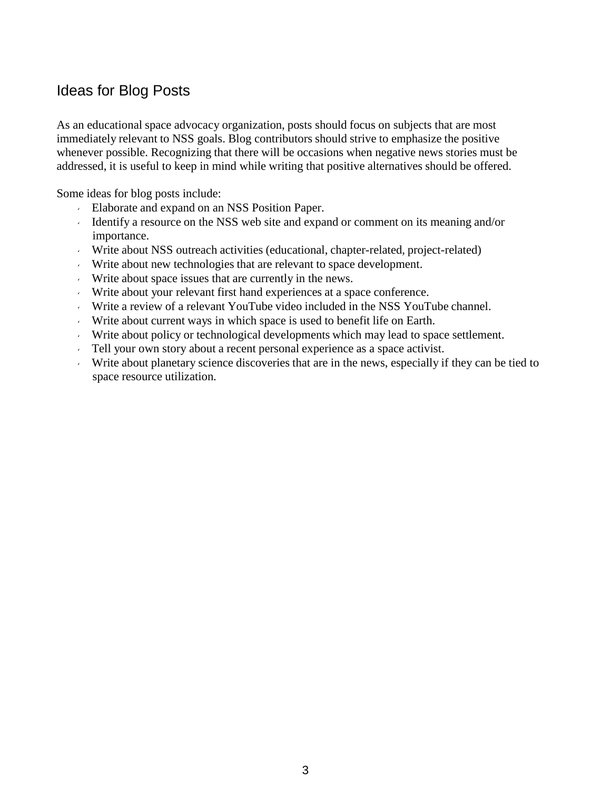#### Ideas for Blog Posts

As an educational space advocacy organization, posts should focus on subjects that are most immediately relevant to NSS goals. Blog contributors should strive to emphasize the positive whenever possible. Recognizing that there will be occasions when negative news stories must be addressed, it is useful to keep in mind while writing that positive alternatives should be offered.

Some ideas for blog posts include:

- Elaborate and expand on an NSS Position Paper.
- Identify a resource on the NSS web site and expand or comment on its meaning and/or importance.
- Write about NSS outreach activities (educational, chapter-related, project-related)
- Write about new technologies that are relevant to space development.
- Write about space issues that are currently in the news.
- Write about your relevant first hand experiences at a space conference.
- Write a review of a relevant YouTube video included in the NSS YouTube channel.
- Write about current ways in which space is used to benefit life on Earth.
- Write about policy or technological developments which may lead to space settlement.
- Tell your own story about a recent personal experience as a space activist.
- Write about planetary science discoveries that are in the news, especially if they can be tied to space resource utilization.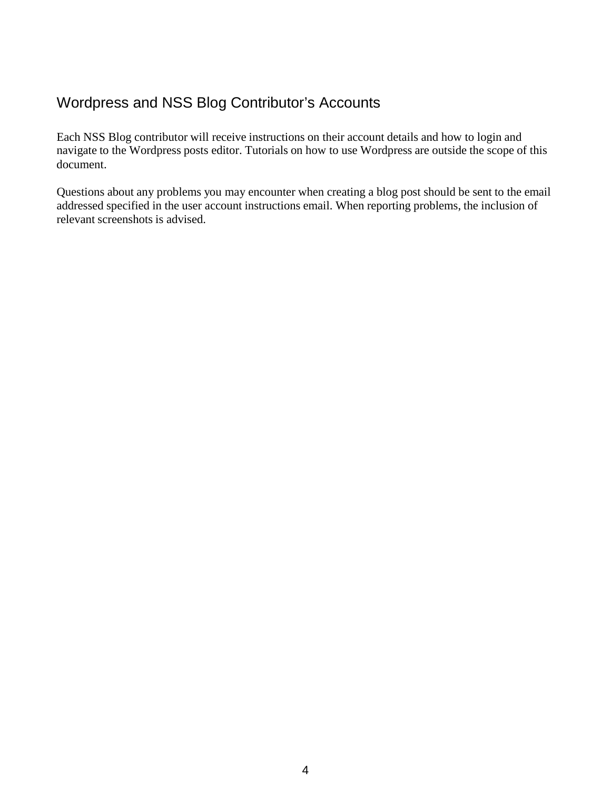## Wordpress and NSS Blog Contributor's Accounts

Each NSS Blog contributor will receive instructions on their account details and how to login and navigate to the Wordpress posts editor. Tutorials on how to use Wordpress are outside the scope of this document.

Questions about any problems you may encounter when creating a blog post should be sent to the email addressed specified in the user account instructions email. When reporting problems, the inclusion of relevant screenshots is advised.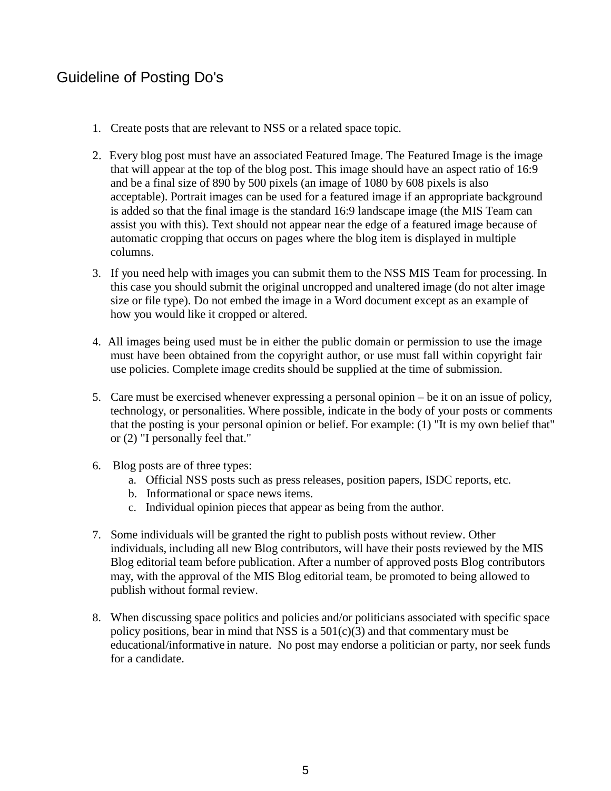## Guideline of Posting Do's

- 1. Create posts that are relevant to NSS or a related space topic.
- 2. Every blog post must have an associated Featured Image. The Featured Image is the image that will appear at the top of the blog post. This image should have an aspect ratio of 16:9 and be a final size of 890 by 500 pixels (an image of 1080 by 608 pixels is also acceptable). Portrait images can be used for a featured image if an appropriate background is added so that the final image is the standard 16:9 landscape image (the MIS Team can assist you with this). Text should not appear near the edge of a featured image because of automatic cropping that occurs on pages where the blog item is displayed in multiple columns.
- 3. If you need help with images you can submit them to the NSS MIS Team for processing. In this case you should submit the original uncropped and unaltered image (do not alter image size or file type). Do not embed the image in a Word document except as an example of how you would like it cropped or altered.
- 4. All images being used must be in either the public domain or permission to use the image must have been obtained from the copyright author, or use must fall within copyright fair use policies. Complete image credits should be supplied at the time of submission.
- 5. Care must be exercised whenever expressing a personal opinion be it on an issue of policy, technology, or personalities. Where possible, indicate in the body of your posts or comments that the posting is your personal opinion or belief. For example: (1) "It is my own belief that" or (2) "I personally feel that."
- 6. Blog posts are of three types:
	- a. Official NSS posts such as press releases, position papers, ISDC reports, etc.
	- b. Informational or space news items.
	- c. Individual opinion pieces that appear as being from the author.
- 7. Some individuals will be granted the right to publish posts without review. Other individuals, including all new Blog contributors, will have their posts reviewed by the MIS Blog editorial team before publication. After a number of approved posts Blog contributors may, with the approval of the MIS Blog editorial team, be promoted to being allowed to publish without formal review.
- 8. When discussing space politics and policies and/or politicians associated with specific space policy positions, bear in mind that NSS is a  $501(c)(3)$  and that commentary must be educational/informative in nature. No post may endorse a politician or party, nor seek funds for a candidate.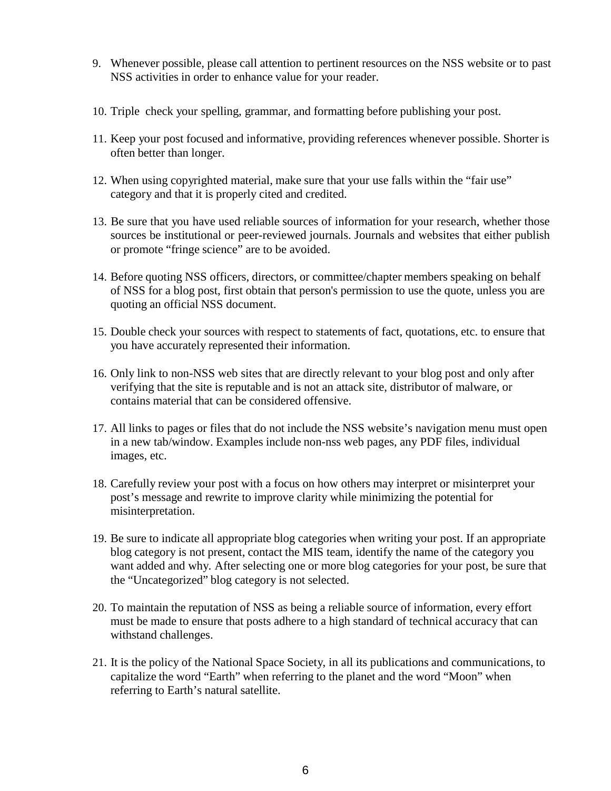- 9. Whenever possible, please call attention to pertinent resources on the NSS website or to past NSS activities in order to enhance value for your reader.
- 10. Triple check your spelling, grammar, and formatting before publishing your post.
- 11. Keep your post focused and informative, providing references whenever possible. Shorter is often better than longer.
- 12. When using copyrighted material, make sure that your use falls within the "fair use" category and that it is properly cited and credited.
- 13. Be sure that you have used reliable sources of information for your research, whether those sources be institutional or peer-reviewed journals. Journals and websites that either publish or promote "fringe science" are to be avoided.
- 14. Before quoting NSS officers, directors, or committee/chapter members speaking on behalf of NSS for a blog post, first obtain that person's permission to use the quote, unless you are quoting an official NSS document.
- 15. Double check your sources with respect to statements of fact, quotations, etc. to ensure that you have accurately represented their information.
- 16. Only link to non-NSS web sites that are directly relevant to your blog post and only after verifying that the site is reputable and is not an attack site, distributor of malware, or contains material that can be considered offensive.
- 17. All links to pages or files that do not include the NSS website's navigation menu must open in a new tab/window. Examples include non-nss web pages, any PDF files, individual images, etc.
- 18. Carefully review your post with a focus on how others may interpret or misinterpret your post's message and rewrite to improve clarity while minimizing the potential for misinterpretation.
- 19. Be sure to indicate all appropriate blog categories when writing your post. If an appropriate blog category is not present, contact the MIS team, identify the name of the category you want added and why. After selecting one or more blog categories for your post, be sure that the "Uncategorized" blog category is not selected.
- 20. To maintain the reputation of NSS as being a reliable source of information, every effort must be made to ensure that posts adhere to a high standard of technical accuracy that can withstand challenges.
- 21. It is the policy of the National Space Society, in all its publications and communications, to capitalize the word "Earth" when referring to the planet and the word "Moon" when referring to Earth's natural satellite.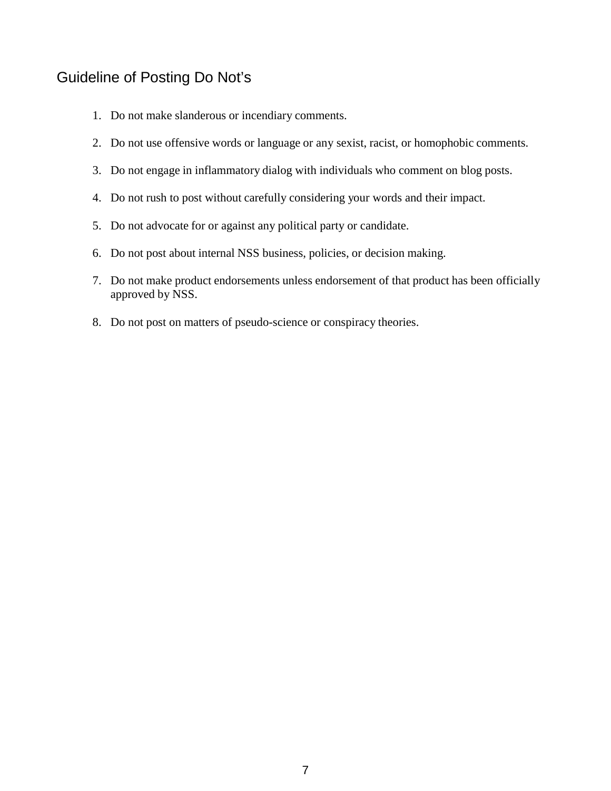#### Guideline of Posting Do Not's

- 1. Do not make slanderous or incendiary comments.
- 2. Do not use offensive words or language or any sexist, racist, or homophobic comments.
- 3. Do not engage in inflammatory dialog with individuals who comment on blog posts.
- 4. Do not rush to post without carefully considering your words and their impact.
- 5. Do not advocate for or against any political party or candidate.
- 6. Do not post about internal NSS business, policies, or decision making.
- 7. Do not make product endorsements unless endorsement of that product has been officially approved by NSS.
- 8. Do not post on matters of pseudo-science or conspiracy theories.